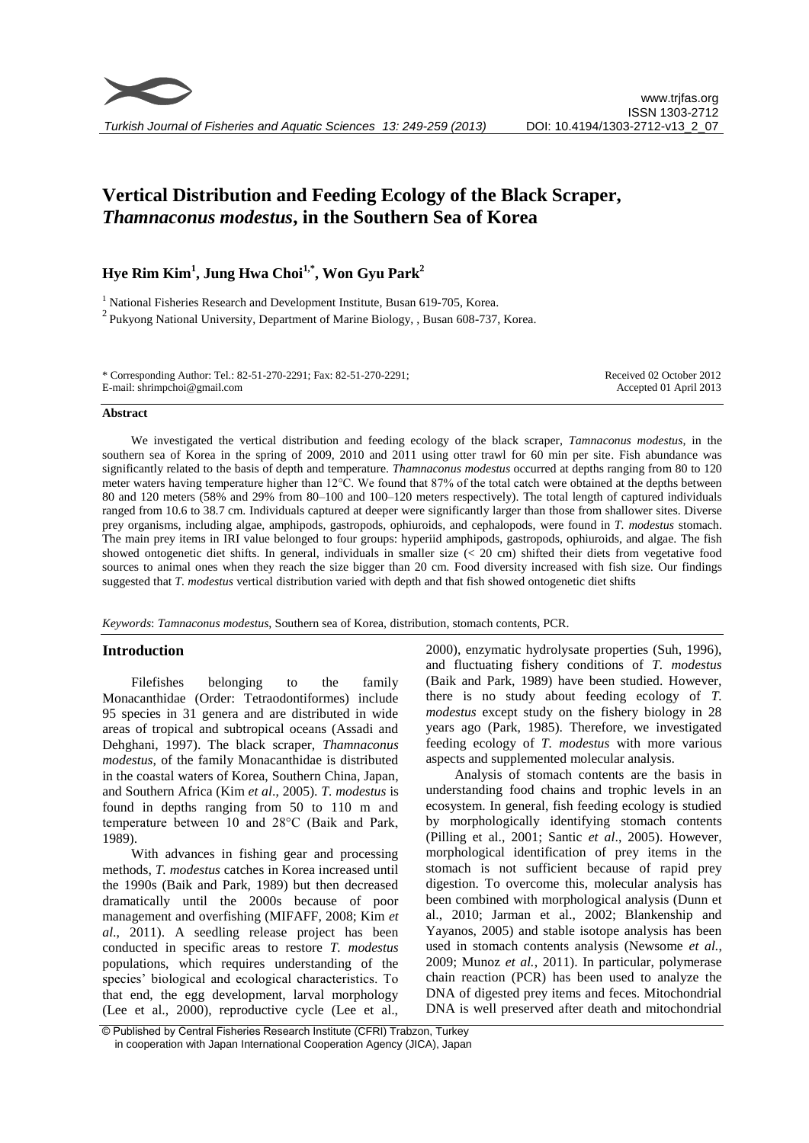

*Turkish Journal of Fisheries and Aquatic Sciences 13: 249-259 (2013)*

# **Vertical Distribution and Feeding Ecology of the Black Scraper,**  *Thamnaconus modestus***, in the Southern Sea of Korea**

# **Hye Rim Kim<sup>1</sup> , Jung Hwa Choi1,\*, Won Gyu Park<sup>2</sup>**

<sup>1</sup> National Fisheries Research and Development Institute, Busan 619-705, Korea.  $^{2}$  Pukyong National University, Department of Marine Biology, , Busan 608-737, Korea.

| * Corresponding Author: Tel.: 82-51-270-2291; Fax: 82-51-270-2291; | Received 02 October 2012 |
|--------------------------------------------------------------------|--------------------------|
| E-mail: shrimpchoi@gmail.com                                       | Accepted 01 April 2013   |

#### **Abstract**

We investigated the vertical distribution and feeding ecology of the black scraper, *Tamnaconus modestus*, in the southern sea of Korea in the spring of 2009, 2010 and 2011 using otter trawl for 60 min per site. Fish abundance was significantly related to the basis of depth and temperature. *Thamnaconus modestus* occurred at depths ranging from 80 to 120 meter waters having temperature higher than 12°C. We found that 87% of the total catch were obtained at the depths between 80 and 120 meters (58% and 29% from 80–100 and 100–120 meters respectively). The total length of captured individuals ranged from 10.6 to 38.7 cm. Individuals captured at deeper were significantly larger than those from shallower sites. Diverse prey organisms, including algae, amphipods, gastropods, ophiuroids, and cephalopods, were found in *T. modestus* stomach. The main prey items in IRI value belonged to four groups: hyperiid amphipods, gastropods, ophiuroids, and algae. The fish showed ontogenetic diet shifts. In general, individuals in smaller size (< 20 cm) shifted their diets from vegetative food sources to animal ones when they reach the size bigger than 20 cm. Food diversity increased with fish size. Our findings suggested that *T. modestus* vertical distribution varied with depth and that fish showed ontogenetic diet shifts

*Keywords*: *Tamnaconus modestus*, Southern sea of Korea, distribution, stomach contents, PCR.

#### **Introduction**

Filefishes belonging to the family Monacanthidae (Order: Tetraodontiformes) include 95 species in 31 genera and are distributed in wide areas of tropical and subtropical oceans (Assadi and Dehghani, 1997). The black scraper, *Thamnaconus modestus*, of the family Monacanthidae is distributed in the coastal waters of Korea, Southern China, Japan, and Southern Africa (Kim *et al*., 2005). *T. modestus* is found in depths ranging from 50 to 110 m and temperature between 10 and 28°C (Baik and Park, 1989).

With advances in fishing gear and processing methods, *T. modestus* catches in Korea increased until the 1990s (Baik and Park, 1989) but then decreased dramatically until the 2000s because of poor management and overfishing (MIFAFF, 2008; Kim *et al*., 2011). A seedling release project has been conducted in specific areas to restore *T. modestus* populations, which requires understanding of the species' biological and ecological characteristics. To that end, the egg development, larval morphology (Lee et al., 2000), reproductive cycle (Lee et al., 2000), enzymatic hydrolysate properties (Suh, 1996), and fluctuating fishery conditions of *T. modestus* (Baik and Park, 1989) have been studied. However, there is no study about feeding ecology of *T. modestus* except study on the fishery biology in 28 years ago (Park, 1985). Therefore, we investigated feeding ecology of *T. modestus* with more various aspects and supplemented molecular analysis.

Analysis of stomach contents are the basis in understanding food chains and trophic levels in an ecosystem. In general, fish feeding ecology is studied by morphologically identifying stomach contents (Pilling et al., 2001; Santic *et al*., 2005). However, morphological identification of prey items in the stomach is not sufficient because of rapid prey digestion. To overcome this, molecular analysis has been combined with morphological analysis (Dunn et al., 2010; Jarman et al., 2002; Blankenship and Yayanos, 2005) and stable isotope analysis has been used in stomach contents analysis (Newsome *et al.*, 2009; Munoz *et al.*, 2011). In particular, polymerase chain reaction (PCR) has been used to analyze the DNA of digested prey items and feces. Mitochondrial DNA is well preserved after death and mitochondrial

<sup>©</sup> Published by Central Fisheries Research Institute (CFRI) Trabzon, Turkey in cooperation with Japan International Cooperation Agency (JICA), Japan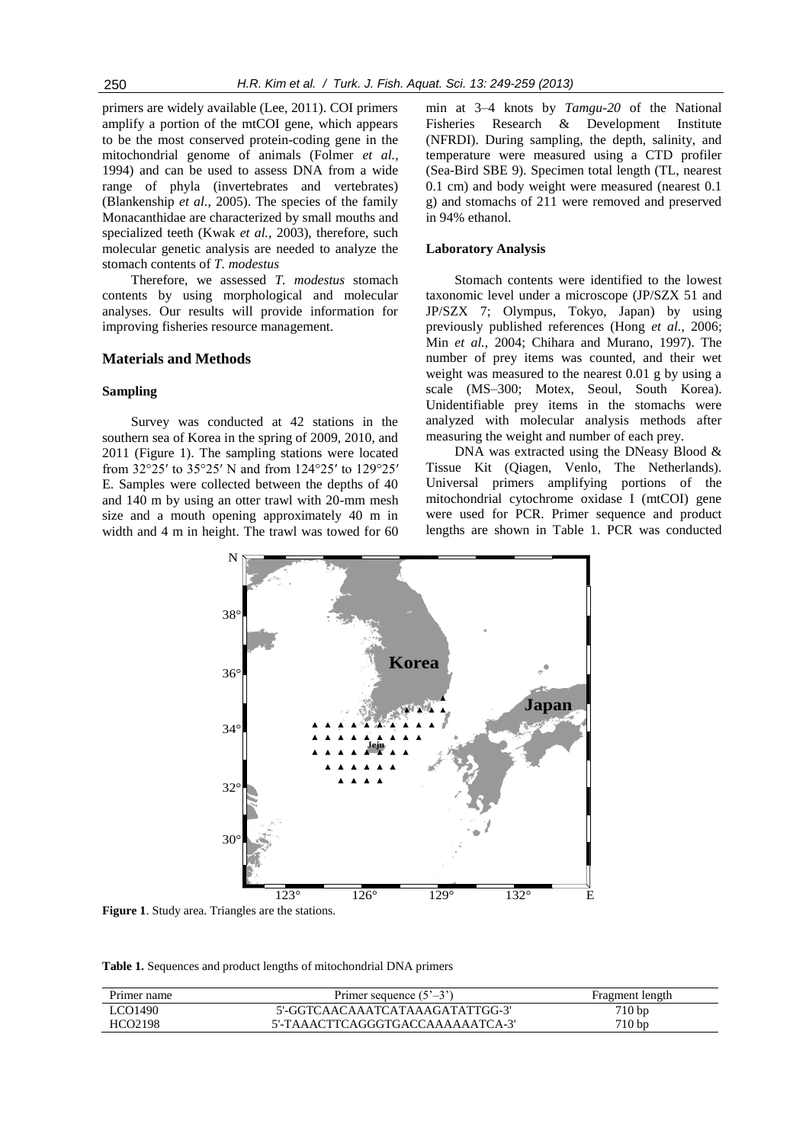primers are widely available (Lee, 2011). COI primers amplify a portion of the mtCOI gene, which appears to be the most conserved protein-coding gene in the mitochondrial genome of animals (Folmer *et al.*, 1994) and can be used to assess DNA from a wide range of phyla (invertebrates and vertebrates) (Blankenship *et al.*, 2005). The species of the family Monacanthidae are characterized by small mouths and specialized teeth (Kwak *et al.*, 2003), therefore, such molecular genetic analysis are needed to analyze the stomach contents of *T. modestus* 

Therefore, we assessed *T. modestus* stomach contents by using morphological and molecular analyses. Our results will provide information for improving fisheries resource management.

# **Materials and Methods**

#### **Sampling**

Survey was conducted at 42 stations in the southern sea of Korea in the spring of 2009, 2010, and 2011 (Figure 1). The sampling stations were located from 32°25′ to 35°25′ N and from 124°25′ to 129°25′ E. Samples were collected between the depths of 40 and 140 m by using an otter trawl with 20-mm mesh size and a mouth opening approximately 40 m in width and 4 m in height. The trawl was towed for 60

min at 3–4 knots by *Tamgu-20* of the National Fisheries Research & Development Institute (NFRDI). During sampling, the depth, salinity, and temperature were measured using a CTD profiler (Sea-Bird SBE 9). Specimen total length (TL, nearest 0.1 cm) and body weight were measured (nearest 0.1 g) and stomachs of 211 were removed and preserved in 94% ethanol.

#### **Laboratory Analysis**

Stomach contents were identified to the lowest taxonomic level under a microscope (JP/SZX 51 and JP/SZX 7; Olympus, Tokyo, Japan) by using previously published references (Hong *et al.*, 2006; Min *et al.*, 2004; Chihara and Murano, 1997). The number of prey items was counted, and their wet weight was measured to the nearest 0.01 g by using a scale (MS–300; Motex, Seoul, South Korea). Unidentifiable prey items in the stomachs were analyzed with molecular analysis methods after measuring the weight and number of each prey.

DNA was extracted using the DNeasy Blood & Tissue Kit (Qiagen, Venlo, The Netherlands). Universal primers amplifying portions of the mitochondrial cytochrome oxidase I (mtCOI) gene were used for PCR. Primer sequence and product lengths are shown in Table 1. PCR was conducted



**Figure 1**. Study area. Triangles are the stations.

**Table 1.** Sequences and product lengths of mitochondrial DNA primers

| Primer name | Primer sequence $(5^{\circ}-3^{\circ})$ | Fragment length |
|-------------|-----------------------------------------|-----------------|
| LCO1490     | 5'-GGTCAACAAATCATAAAGATATTGG-3'         | 710 bp          |
| HCO2198     | 5'-TAAACTTCAGGGTGACCAAAAAATCA-3'        | $710 b$ p       |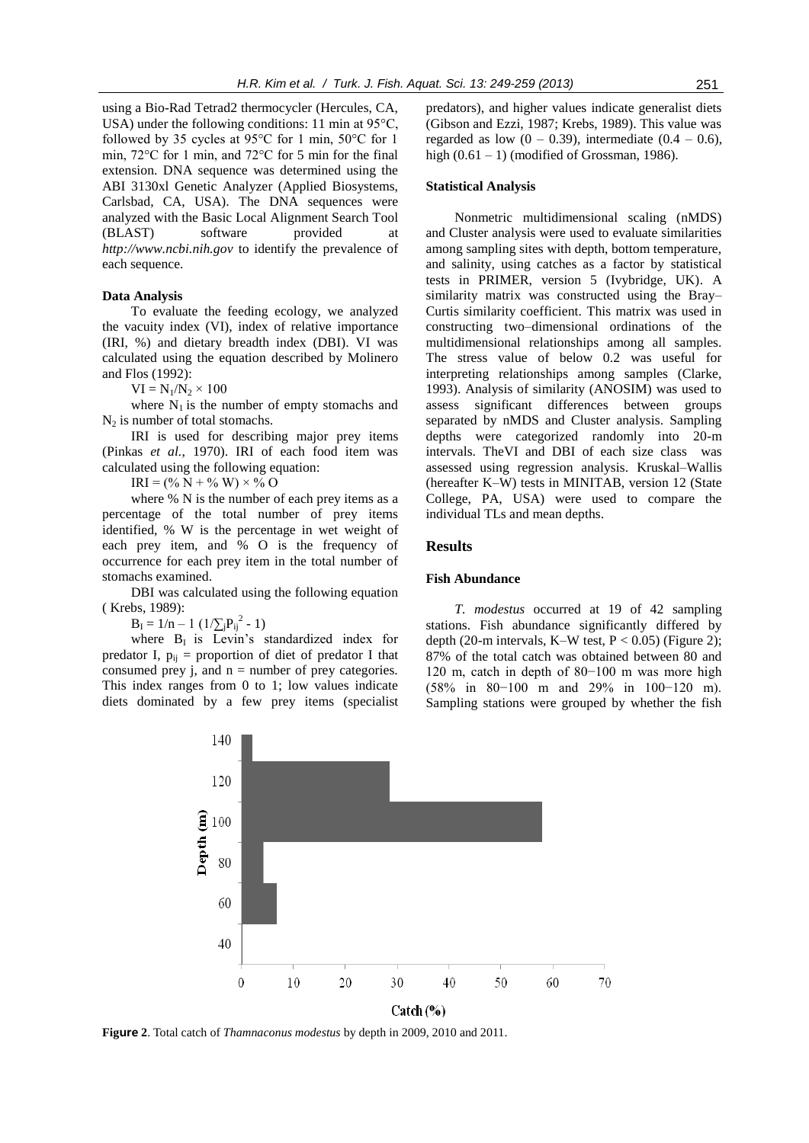using a Bio-Rad Tetrad2 thermocycler (Hercules, CA, USA) under the following conditions: 11 min at 95°C, followed by 35 cycles at 95°C for 1 min, 50°C for 1 min, 72°C for 1 min, and 72°C for 5 min for the final extension. DNA sequence was determined using the ABI 3130xl Genetic Analyzer (Applied Biosystems, Carlsbad, CA, USA). The DNA sequences were analyzed with the Basic Local Alignment Search Tool (BLAST) software provided at *http://www.ncbi.nih.gov* to identify the prevalence of each sequence.

#### **Data Analysis**

To evaluate the feeding ecology, we analyzed the vacuity index (VI), index of relative importance (IRI, %) and dietary breadth index (DBI). VI was calculated using the equation described by Molinero and Flos (1992):

 $VI = N_1/N_2 \times 100$ 

where  $N_1$  is the number of empty stomachs and  $N_2$  is number of total stomachs.

IRI is used for describing major prey items (Pinkas *et al.*, 1970). IRI of each food item was calculated using the following equation:

 $IRI = (\% N + \% W) \times \% O$ 

where % N is the number of each prey items as a percentage of the total number of prey items identified, % W is the percentage in wet weight of each prey item, and % O is the frequency of occurrence for each prey item in the total number of stomachs examined.

DBI was calculated using the following equation ( Krebs, 1989):

 $B_{I} = 1/n - 1$  ( $1/\sum_{j}P_{ij}^{2} - 1$ )

where  $B_1$  is Levin's standardized index for predator I,  $p_{ii}$  = proportion of diet of predator I that consumed prey  $i$ , and  $n =$  number of prey categories. This index ranges from 0 to 1; low values indicate diets dominated by a few prey items (specialist

predators), and higher values indicate generalist diets (Gibson and Ezzi, 1987; Krebs, 1989). This value was regarded as low  $(0 - 0.39)$ , intermediate  $(0.4 - 0.6)$ , high  $(0.61 - 1)$  (modified of Grossman, 1986).

# **Statistical Analysis**

Nonmetric multidimensional scaling (nMDS) and Cluster analysis were used to evaluate similarities among sampling sites with depth, bottom temperature, and salinity, using catches as a factor by statistical tests in PRIMER, version 5 (Ivybridge, UK). A similarity matrix was constructed using the Bray– Curtis similarity coefficient. This matrix was used in constructing two–dimensional ordinations of the multidimensional relationships among all samples. The stress value of below 0.2 was useful for interpreting relationships among samples (Clarke, 1993). Analysis of similarity (ANOSIM) was used to assess significant differences between groups separated by nMDS and Cluster analysis. Sampling depths were categorized randomly into 20-m intervals. TheVI and DBI of each size class was assessed using regression analysis. Kruskal–Wallis (hereafter K–W) tests in MINITAB, version 12 (State College, PA, USA) were used to compare the individual TLs and mean depths.

#### **Results**

#### **Fish Abundance**

*T. modestus* occurred at 19 of 42 sampling stations. Fish abundance significantly differed by depth (20-m intervals, K–W test,  $P < 0.05$ ) (Figure 2); 87% of the total catch was obtained between 80 and 120 m, catch in depth of 80−100 m was more high (58% in 80−100 m and 29% in 100−120 m). Sampling stations were grouped by whether the fish



**Figure 2**. Total catch of *Thamnaconus modestus* by depth in 2009, 2010 and 2011.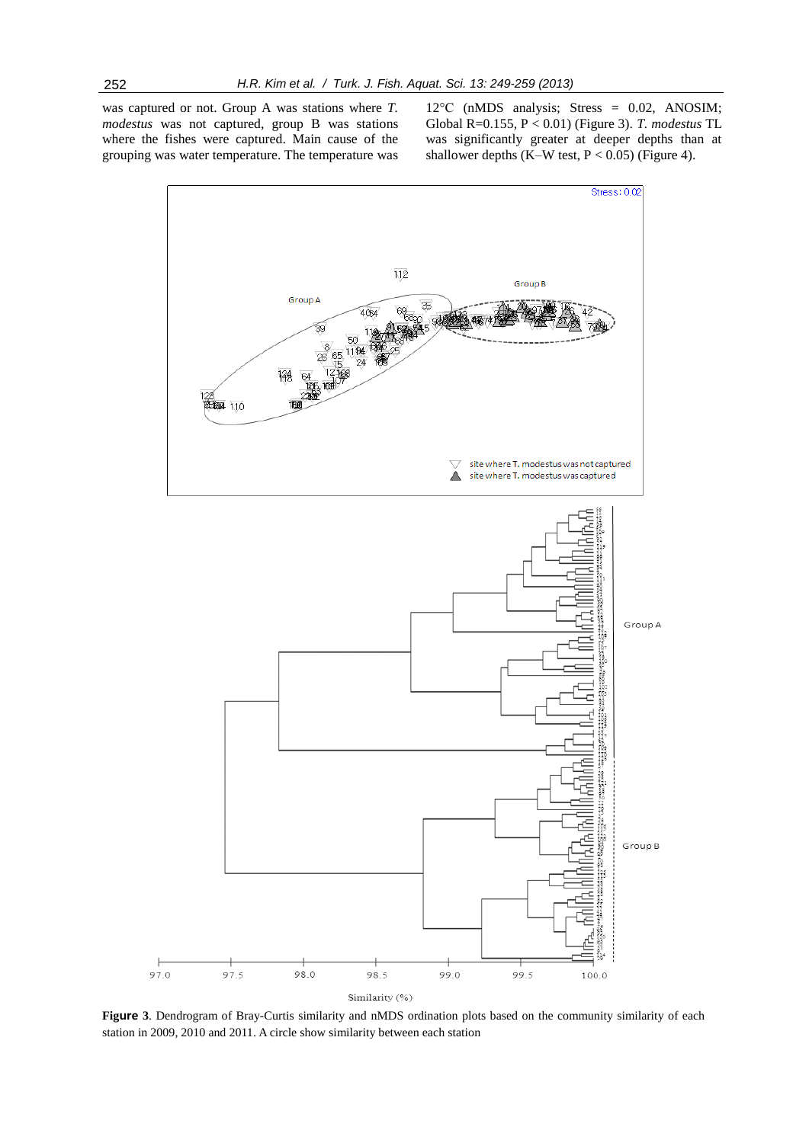was captured or not. Group A was stations where *T. modestus* was not captured, group B was stations where the fishes were captured. Main cause of the grouping was water temperature. The temperature was 12°C (nMDS analysis; Stress = 0.02, ANOSIM; Global R=0.155, P < 0.01) (Figure 3). *T. modestus* TL was significantly greater at deeper depths than at shallower depths (K–W test,  $P < 0.05$ ) (Figure 4).



**Figure 3**. Dendrogram of Bray-Curtis similarity and nMDS ordination plots based on the community similarity of each station in 2009, 2010 and 2011. A circle show similarity between each station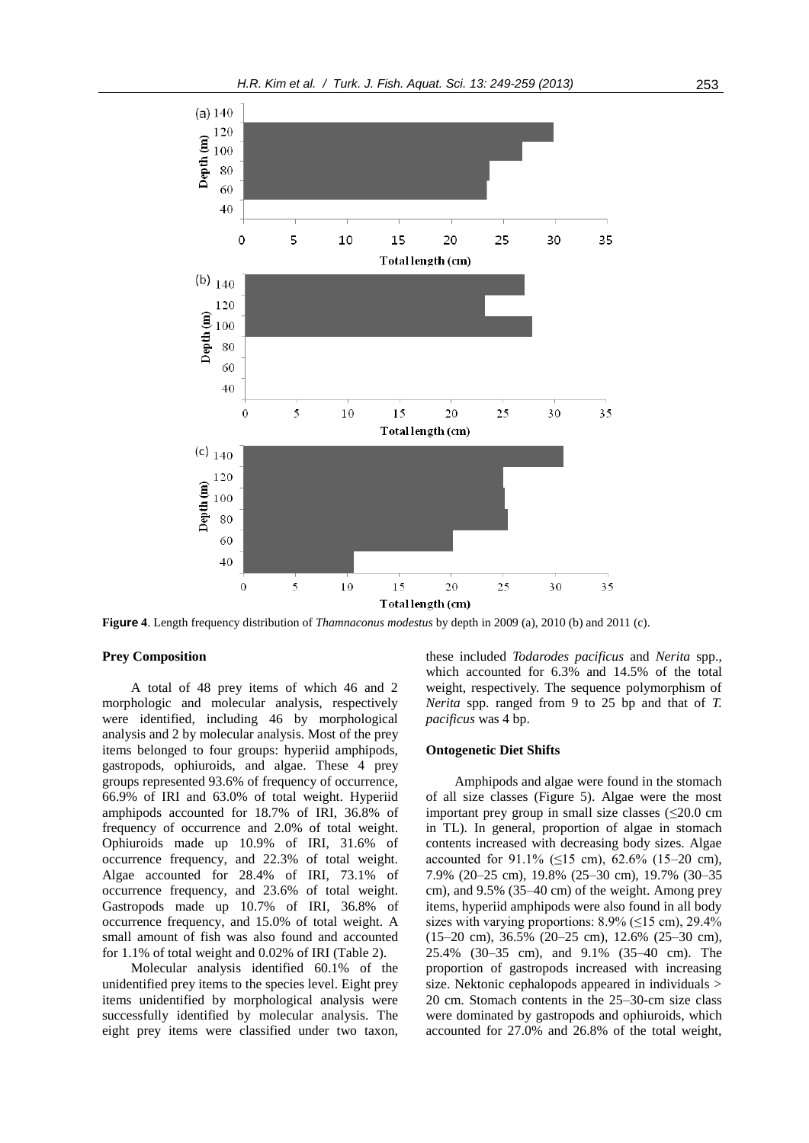

**Figure 4**. Length frequency distribution of *Thamnaconus modestus* by depth in 2009 (a), 2010 (b) and 2011 (c).

## **Prey Composition**

A total of 48 prey items of which 46 and 2 morphologic and molecular analysis, respectively were identified, including 46 by morphological analysis and 2 by molecular analysis. Most of the prey items belonged to four groups: hyperiid amphipods, gastropods, ophiuroids, and algae. These 4 prey groups represented 93.6% of frequency of occurrence, 66.9% of IRI and 63.0% of total weight. Hyperiid amphipods accounted for 18.7% of IRI, 36.8% of frequency of occurrence and 2.0% of total weight. Ophiuroids made up 10.9% of IRI, 31.6% of occurrence frequency, and 22.3% of total weight. Algae accounted for 28.4% of IRI, 73.1% of occurrence frequency, and 23.6% of total weight. Gastropods made up 10.7% of IRI, 36.8% of occurrence frequency, and 15.0% of total weight. A small amount of fish was also found and accounted for 1.1% of total weight and 0.02% of IRI (Table 2).

Molecular analysis identified 60.1% of the unidentified prey items to the species level. Eight prey items unidentified by morphological analysis were successfully identified by molecular analysis. The eight prey items were classified under two taxon,

these included *Todarodes pacificus* and *Nerita* spp., which accounted for 6.3% and 14.5% of the total weight, respectively. The sequence polymorphism of *Nerita* spp. ranged from 9 to 25 bp and that of *T. pacificus* was 4 bp.

# **Ontogenetic Diet Shifts**

Amphipods and algae were found in the stomach of all size classes (Figure 5). Algae were the most important prey group in small size classes  $(\leq 20.0 \text{ cm})$ in TL). In general, proportion of algae in stomach contents increased with decreasing body sizes. Algae accounted for 91.1% (≤15 cm), 62.6% (15–20 cm), 7.9% (20–25 cm), 19.8% (25–30 cm), 19.7% (30–35 cm), and 9.5% (35–40 cm) of the weight. Among prey items, hyperiid amphipods were also found in all body sizes with varying proportions:  $8.9\%$  ( $\leq$ 15 cm), 29.4% (15–20 cm), 36.5% (20–25 cm), 12.6% (25–30 cm), 25.4% (30–35 cm), and 9.1% (35–40 cm). The proportion of gastropods increased with increasing size. Nektonic cephalopods appeared in individuals > 20 cm. Stomach contents in the 25–30-cm size class were dominated by gastropods and ophiuroids, which accounted for 27.0% and 26.8% of the total weight,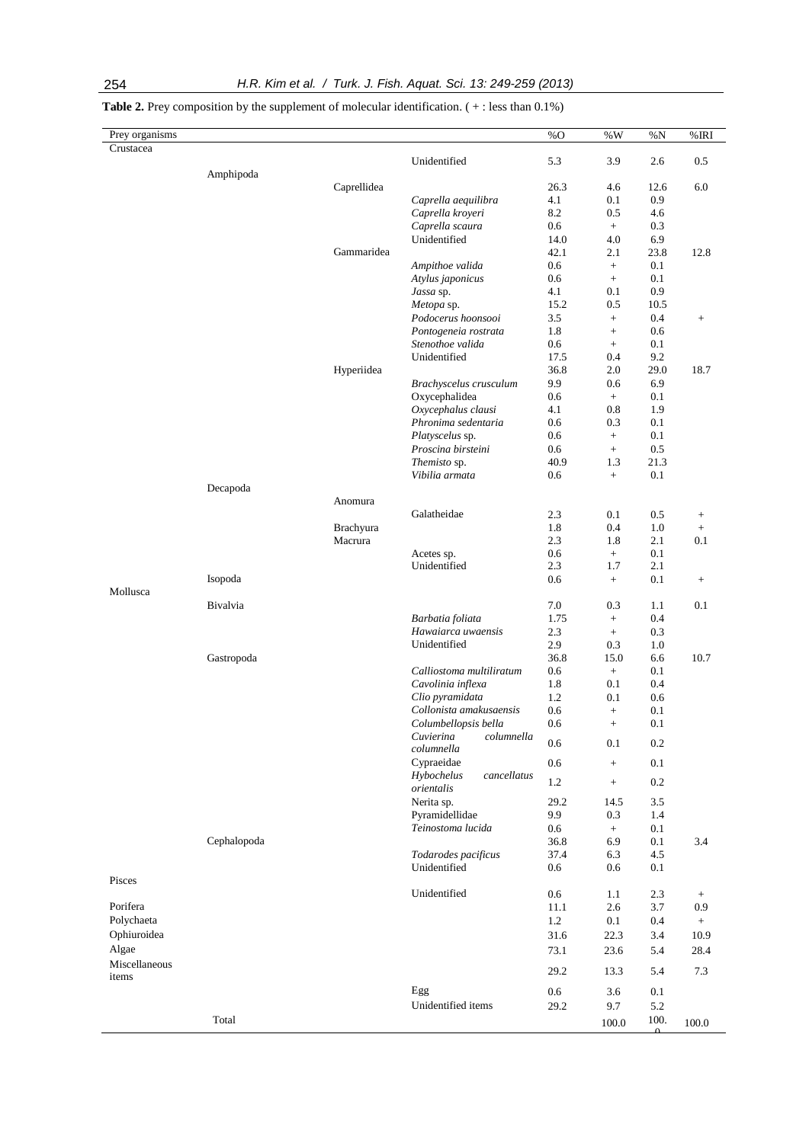| Prey organisms<br>Crustacea |             |             |                                         | %O   | $\%$ W           | $\%N$   | %IRI             |
|-----------------------------|-------------|-------------|-----------------------------------------|------|------------------|---------|------------------|
|                             |             |             | Unidentified                            | 5.3  | 3.9              | 2.6     | 0.5              |
|                             | Amphipoda   |             |                                         |      |                  |         |                  |
|                             |             | Caprellidea |                                         | 26.3 | 4.6              | 12.6    | 6.0              |
|                             |             |             | Caprella aequilibra                     | 4.1  | 0.1              | 0.9     |                  |
|                             |             |             | Caprella kroyeri                        | 8.2  | 0.5              | 4.6     |                  |
|                             |             |             | Caprella scaura                         | 0.6  | $+$              | 0.3     |                  |
|                             |             |             | Unidentified                            | 14.0 | 4.0              | 6.9     |                  |
|                             |             | Gammaridea  |                                         | 42.1 | 2.1              | 23.8    | 12.8             |
|                             |             |             | Ampithoe valida                         | 0.6  | $\! +$           | 0.1     |                  |
|                             |             |             | Atylus japonicus                        | 0.6  | $+$              | 0.1     |                  |
|                             |             |             | Jassa sp.                               | 4.1  | $0.1\,$          | 0.9     |                  |
|                             |             |             | Metopa sp.                              | 15.2 | 0.5              | 10.5    |                  |
|                             |             |             | Podocerus hoonsooi                      | 3.5  | $\boldsymbol{+}$ | 0.4     | $\! +$           |
|                             |             |             | Pontogeneia rostrata                    | 1.8  | $\boldsymbol{+}$ | 0.6     |                  |
|                             |             |             | Stenothoe valida                        | 0.6  | $+$              | 0.1     |                  |
|                             |             |             | Unidentified                            | 17.5 | 0.4              | 9.2     |                  |
|                             |             | Hyperiidea  |                                         | 36.8 | 2.0              | 29.0    | 18.7             |
|                             |             |             | Brachyscelus crusculum                  | 9.9  | 0.6              | 6.9     |                  |
|                             |             |             | Oxycephalidea                           | 0.6  | $+$              | 0.1     |                  |
|                             |             |             | Oxycephalus clausi                      | 4.1  | 0.8              | 1.9     |                  |
|                             |             |             | Phronima sedentaria                     | 0.6  | 0.3              | 0.1     |                  |
|                             |             |             | Platyscelus sp.                         | 0.6  | $+$              | 0.1     |                  |
|                             |             |             | Proscina birsteini                      | 0.6  | $+$              | 0.5     |                  |
|                             |             |             | Themisto sp.                            | 40.9 | 1.3              | 21.3    |                  |
|                             |             |             | Vibilia armata                          | 0.6  | $+$              | 0.1     |                  |
|                             | Decapoda    |             |                                         |      |                  |         |                  |
|                             |             | Anomura     |                                         |      |                  |         |                  |
|                             |             |             | Galatheidae                             | 2.3  | 0.1              | 0.5     | $^{+}$           |
|                             |             | Brachyura   |                                         | 1.8  | 0.4              | 1.0     | $\boldsymbol{+}$ |
|                             |             | Macrura     |                                         | 2.3  | 1.8              | 2.1     | 0.1              |
|                             |             |             | Acetes sp.                              | 0.6  | $+$              | 0.1     |                  |
|                             |             |             | Unidentified                            | 2.3  | 1.7              | 2.1     |                  |
|                             | Isopoda     |             |                                         | 0.6  | $\! + \!\!\!\!$  | 0.1     | $^{+}$           |
| Mollusca                    |             |             |                                         |      |                  |         |                  |
|                             | Bivalvia    |             |                                         | 7.0  | 0.3              | 1.1     | 0.1              |
|                             |             |             | Barbatia foliata                        | 1.75 | $+$              | 0.4     |                  |
|                             |             |             | Hawaiarca uwaensis                      | 2.3  | $+$              | 0.3     |                  |
|                             |             |             | Unidentified                            | 2.9  | 0.3              | 1.0     |                  |
|                             | Gastropoda  |             |                                         | 36.8 | 15.0             | 6.6     | 10.7             |
|                             |             |             | Calliostoma multiliratum                | 0.6  | $\, +$           | 0.1     |                  |
|                             |             |             | Cavolinia inflexa                       | 1.8  | $0.1\,$          | 0.4     |                  |
|                             |             |             | Clio pyramidata                         | 1.2  | 0.1              | 0.6     |                  |
|                             |             |             | Collonista amakusaensis                 | 0.6  | $+$              | 0.1     |                  |
|                             |             |             | Columbellopsis bella                    | 0.6  | $^{+}$           | $0.1\,$ |                  |
|                             |             |             | Cuvierina<br>columnella                 | 0.6  | 0.1              | 0.2     |                  |
|                             |             |             | columnella<br>Cypraeidae                | 0.6  | $^+$             | 0.1     |                  |
|                             |             |             | Hybochelus<br>cancellatus<br>orientalis | 1.2  | $^+$             | 0.2     |                  |
|                             |             |             | Nerita sp.                              | 29.2 | 14.5             | 3.5     |                  |
|                             |             |             | Pyramidellidae                          | 9.9  | 0.3              | 1.4     |                  |
|                             |             |             | Teinostoma lucida                       | 0.6  | $+$              | 0.1     |                  |
|                             | Cephalopoda |             |                                         | 36.8 | 6.9              | 0.1     | 3.4              |
|                             |             |             | Todarodes pacificus                     | 37.4 | 6.3              | 4.5     |                  |
|                             |             |             | Unidentified                            | 0.6  | 0.6              | 0.1     |                  |
| Pisces                      |             |             |                                         |      |                  |         |                  |
|                             |             |             | Unidentified                            | 0.6  | 1.1              | 2.3     | $^{+}$           |
| Porifera                    |             |             |                                         | 11.1 | 2.6              | 3.7     | $0.9\,$          |
| Polychaeta                  |             |             |                                         | 1.2  | $0.1\,$          | 0.4     | $^+$             |
| Ophiuroidea                 |             |             |                                         | 31.6 | 22.3             | 3.4     | 10.9             |
| Algae                       |             |             |                                         | 73.1 | 23.6             | 5.4     | 28.4             |
| Miscellaneous               |             |             |                                         |      |                  |         |                  |
| items                       |             |             |                                         | 29.2 | 13.3             | 5.4     | 7.3              |
|                             |             |             | Egg                                     | 0.6  | 3.6              | 0.1     |                  |
|                             |             |             | Unidentified items                      | 29.2 | 9.7              | 5.2     |                  |

Total  $100.0$   $100.$ 

 $\Omega$ 

100.0

Table 2. Prey composition by the supplement of molecular identification. (+: less than 0.1%)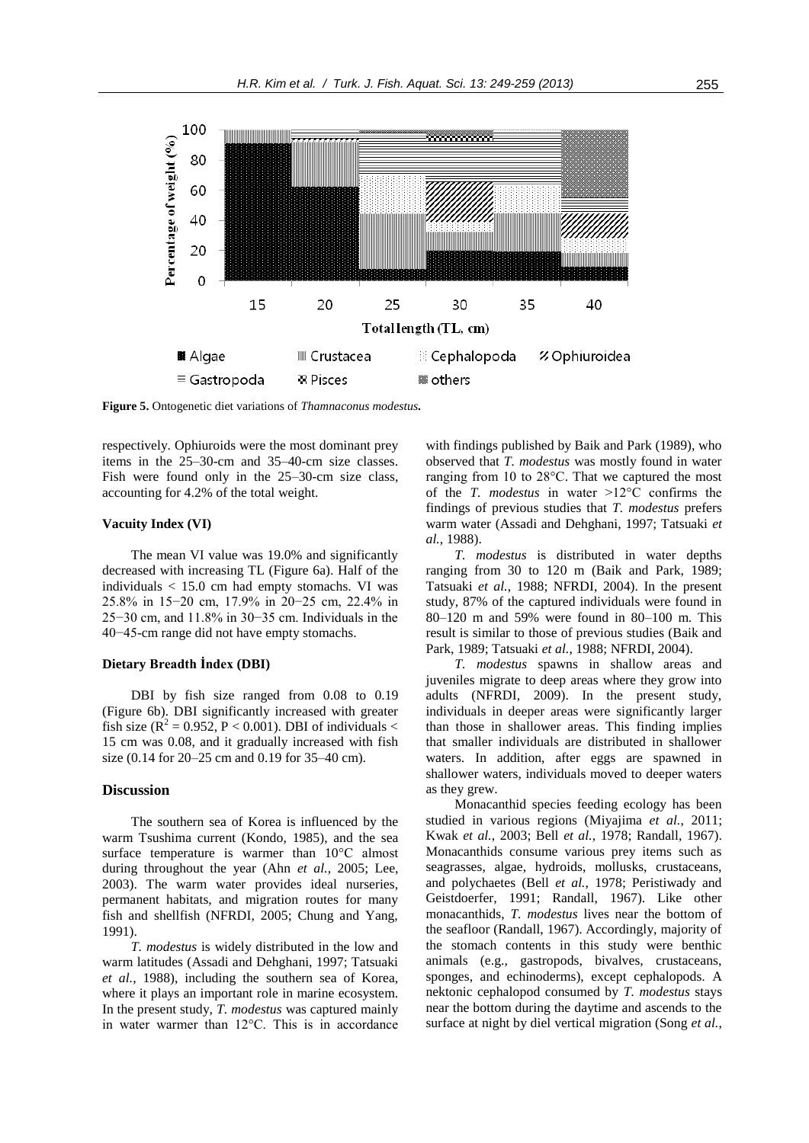

**Figure 5.** Ontogenetic diet variations of *Thamnaconus modestus.*

respectively. Ophiuroids were the most dominant prey items in the 25–30-cm and 35–40-cm size classes. Fish were found only in the 25–30-cm size class, accounting for 4.2% of the total weight.

#### **Vacuity Index (VI)**

The mean VI value was 19.0% and significantly decreased with increasing TL (Figure 6a). Half of the individuals  $<$  15.0 cm had empty stomachs. VI was 25.8% in 15−20 cm, 17.9% in 20−25 cm, 22.4% in 25−30 cm, and 11.8% in 30−35 cm. Individuals in the 40−45-cm range did not have empty stomachs.

# **Dietary Breadth İndex (DBI)**

DBI by fish size ranged from 0.08 to 0.19 (Figure 6b). DBI significantly increased with greater fish size  $(R^2 = 0.952, P < 0.001)$ . DBI of individuals < 15 cm was 0.08, and it gradually increased with fish size (0.14 for 20–25 cm and 0.19 for 35–40 cm).

# **Discussion**

The southern sea of Korea is influenced by the warm Tsushima current (Kondo, 1985), and the sea surface temperature is warmer than 10°C almost during throughout the year (Ahn *et al.*, 2005; Lee, 2003). The warm water provides ideal nurseries, permanent habitats, and migration routes for many fish and shellfish (NFRDI, 2005; Chung and Yang, 1991).

*T. modestus* is widely distributed in the low and warm latitudes (Assadi and Dehghani, 1997; Tatsuaki *et al.*, 1988), including the southern sea of Korea, where it plays an important role in marine ecosystem. In the present study, *T. modestus* was captured mainly in water warmer than 12°C. This is in accordance with findings published by Baik and Park (1989), who observed that *T. modestus* was mostly found in water ranging from 10 to 28°C. That we captured the most of the *T. modestus* in water >12°C confirms the findings of previous studies that *T. modestus* prefers warm water (Assadi and Dehghani, 1997; Tatsuaki *et al.*, 1988).

*T. modestus* is distributed in water depths ranging from 30 to 120 m (Baik and Park, 1989; Tatsuaki *et al.*, 1988; NFRDI, 2004). In the present study, 87% of the captured individuals were found in 80–120 m and 59% were found in 80–100 m. This result is similar to those of previous studies (Baik and Park, 1989; Tatsuaki *et al.*, 1988; NFRDI, 2004).

*T. modestus* spawns in shallow areas and juveniles migrate to deep areas where they grow into adults (NFRDI, 2009). In the present study, individuals in deeper areas were significantly larger than those in shallower areas. This finding implies that smaller individuals are distributed in shallower waters. In addition, after eggs are spawned in shallower waters, individuals moved to deeper waters as they grew.

Monacanthid species feeding ecology has been studied in various regions (Miyajima *et al.*, 2011; Kwak *et al.*, 2003; Bell *et al.*, 1978; Randall, 1967). Monacanthids consume various prey items such as seagrasses, algae, hydroids, mollusks, crustaceans, and polychaetes (Bell *et al.*, 1978; Peristiwady and Geistdoerfer, 1991; Randall, 1967). Like other monacanthids, *T. modestus* lives near the bottom of the seafloor (Randall, 1967). Accordingly, majority of the stomach contents in this study were benthic animals (e.g., gastropods, bivalves, crustaceans, sponges, and echinoderms), except cephalopods. A nektonic cephalopod consumed by *T. modestus* stays near the bottom during the daytime and ascends to the surface at night by diel vertical migration (Song *et al.*,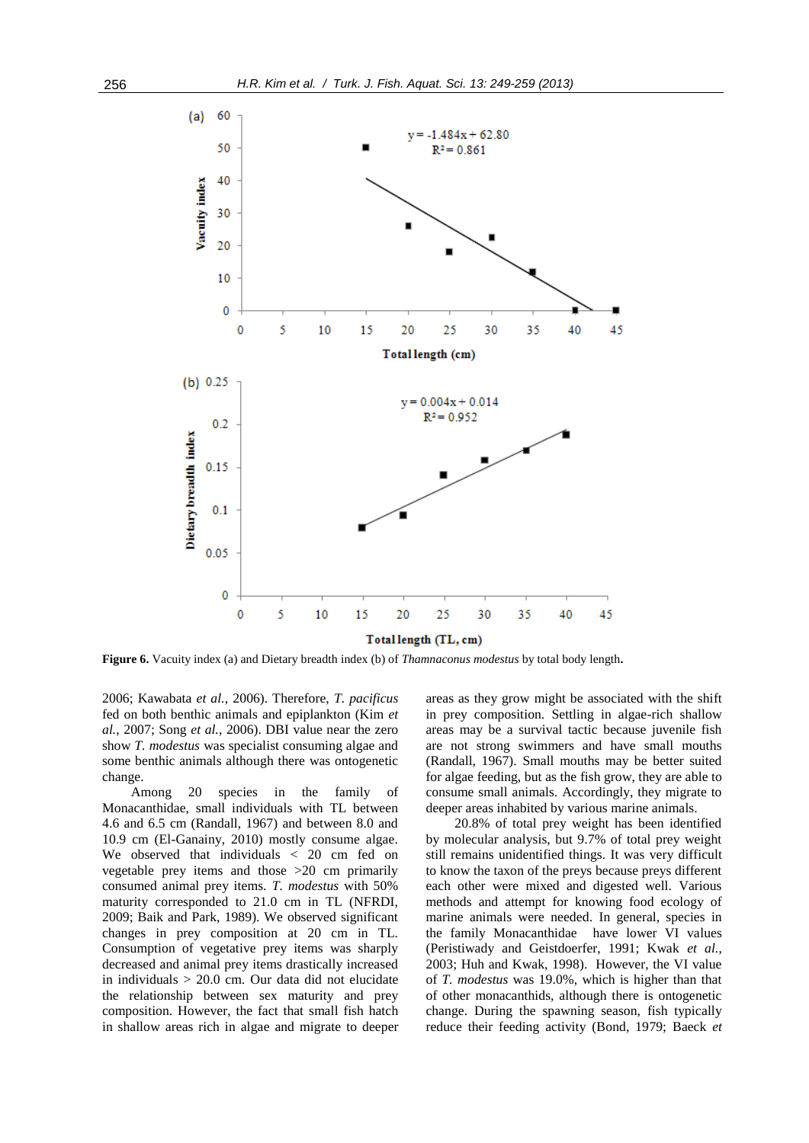

**Figure 6.** Vacuity index (a) and Dietary breadth index (b) of *Thamnaconus modestus* by total body length**.**

2006; Kawabata *et al.*, 2006). Therefore, *T. pacificus* fed on both benthic animals and epiplankton (Kim *et al.*, 2007; Song *et al.*, 2006). DBI value near the zero show *T. modestus* was specialist consuming algae and some benthic animals although there was ontogenetic change.

Among 20 species in the family of Monacanthidae, small individuals with TL between 4.6 and 6.5 cm (Randall, 1967) and between 8.0 and 10.9 cm (El-Ganainy, 2010) mostly consume algae. We observed that individuals < 20 cm fed on vegetable prey items and those >20 cm primarily consumed animal prey items. *T. modestus* with 50% maturity corresponded to 21.0 cm in TL (NFRDI, 2009; Baik and Park, 1989). We observed significant changes in prey composition at 20 cm in TL. Consumption of vegetative prey items was sharply decreased and animal prey items drastically increased in individuals > 20.0 cm. Our data did not elucidate the relationship between sex maturity and prey composition. However, the fact that small fish hatch in shallow areas rich in algae and migrate to deeper areas as they grow might be associated with the shift in prey composition. Settling in algae-rich shallow areas may be a survival tactic because juvenile fish are not strong swimmers and have small mouths (Randall, 1967). Small mouths may be better suited for algae feeding, but as the fish grow, they are able to consume small animals. Accordingly, they migrate to deeper areas inhabited by various marine animals.

20.8% of total prey weight has been identified by molecular analysis, but 9.7% of total prey weight still remains unidentified things. It was very difficult to know the taxon of the preys because preys different each other were mixed and digested well. Various methods and attempt for knowing food ecology of marine animals were needed. In general, species in the family Monacanthidae have lower VI values (Peristiwady and Geistdoerfer, 1991; Kwak *et al.*, 2003; Huh and Kwak, 1998). However, the VI value of *T. modestus* was 19.0%, which is higher than that of other monacanthids, although there is ontogenetic change. During the spawning season, fish typically reduce their feeding activity (Bond, 1979; Baeck *et*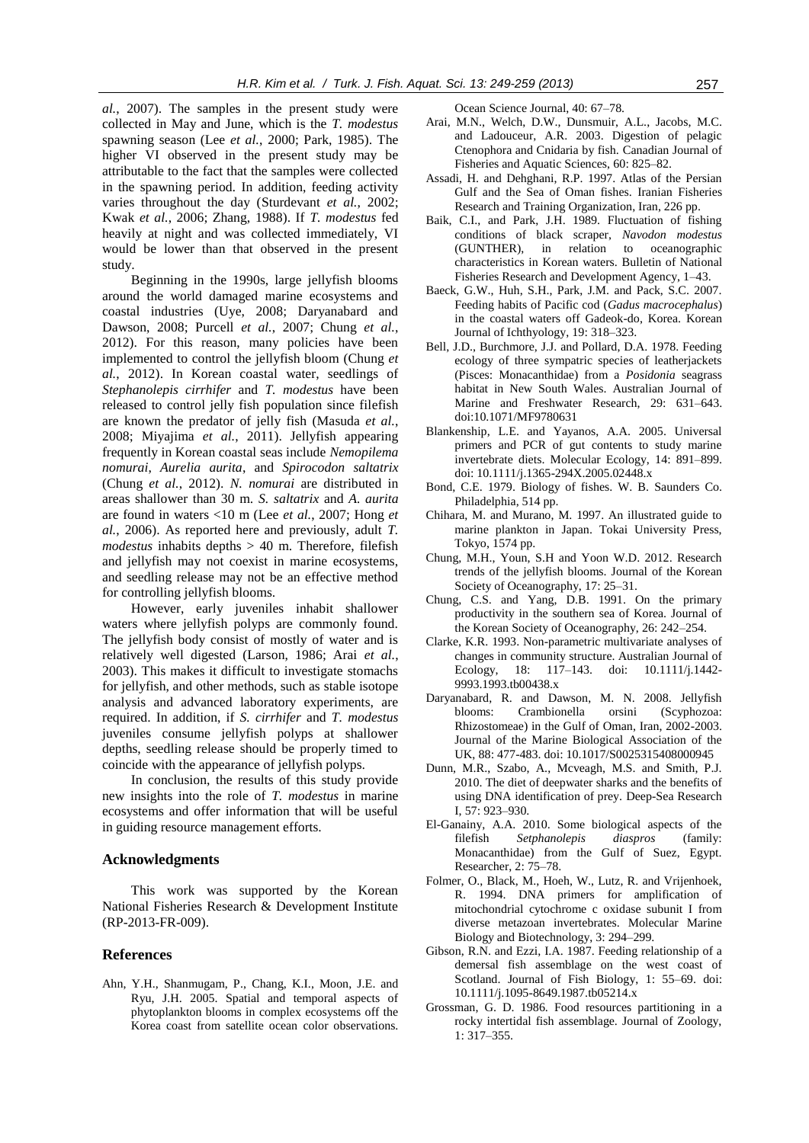*al.*, 2007). The samples in the present study were collected in May and June, which is the *T. modestus* spawning season (Lee *et al.*, 2000; Park, 1985). The higher VI observed in the present study may be attributable to the fact that the samples were collected in the spawning period*.* In addition, feeding activity varies throughout the day (Sturdevant *et al.*, 2002; Kwak *et al.*, 2006; Zhang, 1988). If *T. modestus* fed heavily at night and was collected immediately, VI would be lower than that observed in the present study.

Beginning in the 1990s, large jellyfish blooms around the world damaged marine ecosystems and coastal industries (Uye, 2008; Daryanabard and Dawson, 2008; Purcell *et al.*, 2007; Chung *et al.*, 2012). For this reason, many policies have been implemented to control the jellyfish bloom (Chung *et al.*, 2012). In Korean coastal water, seedlings of *Stephanolepis cirrhifer* and *T. modestus* have been released to control jelly fish population since filefish are known the predator of jelly fish (Masuda *et al.*, 2008; Miyajima *et al.*, 2011). Jellyfish appearing frequently in Korean coastal seas include *Nemopilema nomurai*, *Aurelia aurita*, and *Spirocodon saltatrix*  (Chung *et al.*, 2012). *N. nomurai* are distributed in areas shallower than 30 m. *S. saltatrix* and *A. aurita* are found in waters <10 m (Lee *et al.*, 2007; Hong *et al.*, 2006). As reported here and previously, adult *T. modestus* inhabits depths > 40 m. Therefore, filefish and jellyfish may not coexist in marine ecosystems, and seedling release may not be an effective method for controlling jellyfish blooms.

However, early juveniles inhabit shallower waters where jellyfish polyps are commonly found. The jellyfish body consist of mostly of water and is relatively well digested (Larson, 1986; Arai *et al.*, 2003). This makes it difficult to investigate stomachs for jellyfish, and other methods, such as stable isotope analysis and advanced laboratory experiments, are required. In addition, if *S. cirrhifer* and *T. modestus* juveniles consume jellyfish polyps at shallower depths, seedling release should be properly timed to coincide with the appearance of jellyfish polyps.

In conclusion, the results of this study provide new insights into the role of *T. modestus* in marine ecosystems and offer information that will be useful in guiding resource management efforts.

# **Acknowledgments**

This work was supported by the Korean National Fisheries Research & Development Institute (RP-2013-FR-009).

### **References**

Ahn, Y.H., Shanmugam, P., Chang, K.I., Moon, J.E. and Ryu, J.H. 2005. Spatial and temporal aspects of phytoplankton blooms in complex ecosystems off the Korea coast from satellite ocean color observations.

Ocean Science Journal, 40: 67–78.

- Arai, M.N., Welch, D.W., Dunsmuir, A.L., Jacobs, M.C. and Ladouceur, A.R. 2003. Digestion of pelagic Ctenophora and Cnidaria by fish. Canadian Journal of Fisheries and Aquatic Sciences, 60: 825–82.
- Assadi, H. and Dehghani, R.P. 1997. Atlas of the Persian Gulf and the Sea of Oman fishes. Iranian Fisheries Research and Training Organization, Iran, 226 pp.
- Baik, C.I., and Park, J.H. 1989. Fluctuation of fishing conditions of black scraper, *Navodon modestus* (GUNTHER), in relation to oceanographic characteristics in Korean waters. Bulletin of National Fisheries Research and Development Agency, 1–43.
- Baeck, G.W., Huh, S.H., Park, J.M. and Pack, S.C. 2007. Feeding habits of Pacific cod (*Gadus macrocephalus*) in the coastal waters off Gadeok-do, Korea. Korean Journal of Ichthyology, 19: 318–323.
- Bell, J.D., Burchmore, J.J. and Pollard, D.A. 1978. Feeding ecology of three sympatric species of leatherjackets (Pisces: Monacanthidae) from a *Posidonia* seagrass habitat in New South Wales. Australian Journal of Marine and Freshwater Research, 29: 631–643. doi:10.1071/MF9780631
- Blankenship, L.E. and Yayanos, A.A. 2005. Universal primers and PCR of gut contents to study marine invertebrate diets. Molecular Ecology, 14: 891–899. doi: 10.1111/j.1365-294X.2005.02448.x
- Bond, C.E. 1979. Biology of fishes. W. B. Saunders Co. Philadelphia, 514 pp.
- Chihara, M. and Murano, M. 1997. An illustrated guide to marine plankton in Japan. Tokai University Press, Tokyo, 1574 pp.
- Chung, M.H., Youn, S.H and Yoon W.D. 2012. Research trends of the jellyfish blooms. Journal of the Korean Society of Oceanography, 17: 25–31.
- Chung, C.S. and Yang, D.B. 1991. On the primary productivity in the southern sea of Korea. Journal of the Korean Society of Oceanography, 26: 242–254.
- Clarke, K.R. 1993. Non-parametric multivariate analyses of changes in community structure. Australian Journal of Ecology, 18: 117–143. doi: 10.1111/j.1442- 9993.1993.tb00438.x
- Daryanabard, R. and Dawson, M. N. 2008. Jellyfish blooms: Crambionella orsini (Scyphozoa: Rhizostomeae) in the Gulf of Oman, Iran, 2002-2003. Journal of the Marine Biological Association of the UK, 88: 477-483. doi: 10.1017/S0025315408000945
- Dunn, M.R., Szabo, A., Mcveagh, M.S. and Smith, P.J. 2010. The diet of deepwater sharks and the benefits of using DNA identification of prey. Deep-Sea Research I, 57: 923–930.
- El-Ganainy, A.A. 2010. Some biological aspects of the filefish *Setphanolepis diaspros* (family: Monacanthidae) from the Gulf of Suez, Egypt. Researcher, 2: 75–78.
- Folmer, O., Black, M., Hoeh, W., Lutz, R. and Vrijenhoek, R. 1994. DNA primers for amplification of mitochondrial cytochrome c oxidase subunit I from diverse metazoan invertebrates. Molecular Marine Biology and Biotechnology, 3: 294–299.
- Gibson, R.N. and Ezzi, I.A. 1987. Feeding relationship of a demersal fish assemblage on the west coast of Scotland. Journal of Fish Biology, 1: 55–69. doi: 10.1111/j.1095-8649.1987.tb05214.x
- Grossman, G. D. 1986. Food resources partitioning in a rocky intertidal fish assemblage. Journal of Zoology, 1: 317–355.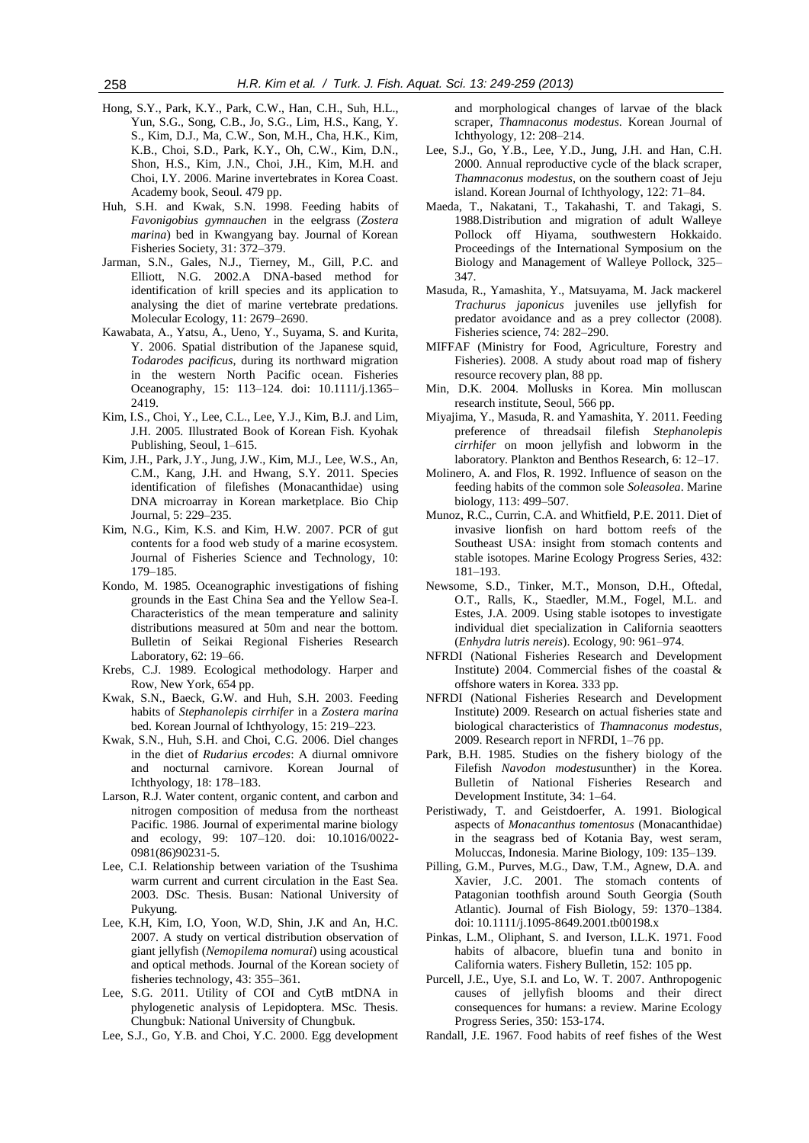- Hong, S.Y., Park, K.Y., Park, C.W., Han, C.H., Suh, H.L., Yun, S.G., Song, C.B., Jo, S.G., Lim, H.S., Kang, Y. S., Kim, D.J., Ma, C.W., Son, M.H., Cha, H.K., Kim, K.B., Choi, S.D., Park, K.Y., Oh, C.W., Kim, D.N., Shon, H.S., Kim, J.N., Choi, J.H., Kim, M.H. and Choi, I.Y. 2006. Marine invertebrates in Korea Coast. Academy book, Seoul. 479 pp.
- Huh, S.H. and Kwak, S.N. 1998. Feeding habits of *Favonigobius gymnauchen* in the eelgrass (*Zostera marina*) bed in Kwangyang bay. Journal of Korean Fisheries Society, 31: 372–379.
- Jarman, S.N., Gales, N.J., Tierney, M., Gill, P.C. and Elliott, N.G. 2002.A DNA-based method for identification of krill species and its application to analysing the diet of marine vertebrate predations. Molecular Ecology, 11: 2679–2690.
- Kawabata, A., Yatsu, A., Ueno, Y., Suyama, S. and Kurita, Y. 2006. Spatial distribution of the Japanese squid, *Todarodes pacificus*, during its northward migration in the western North Pacific ocean. Fisheries Oceanography, 15: 113–124. doi: 10.1111/j.1365– 2419.
- Kim, I.S., Choi, Y., Lee, C.L., Lee, Y.J., Kim, B.J. and Lim, J.H. 2005. Illustrated Book of Korean Fish. Kyohak Publishing, Seoul, 1–615.
- Kim, J.H., Park, J.Y., Jung, J.W., Kim, M.J., Lee, W.S., An, C.M., Kang, J.H. and Hwang, S.Y. 2011. Species identification of filefishes (Monacanthidae) using DNA microarray in Korean marketplace. Bio Chip Journal, 5: 229–235.
- Kim, N.G., Kim, K.S. and Kim, H.W. 2007. PCR of gut contents for a food web study of a marine ecosystem. Journal of Fisheries Science and Technology, 10: 179–185.
- Kondo, M. 1985. Oceanographic investigations of fishing grounds in the East China Sea and the Yellow Sea-I. Characteristics of the mean temperature and salinity distributions measured at 50m and near the bottom. Bulletin of Seikai Regional Fisheries Research Laboratory, 62: 19–66.
- Krebs, C.J. 1989. Ecological methodology. Harper and Row, New York, 654 pp.
- Kwak, S.N., Baeck, G.W. and Huh, S.H. 2003. Feeding habits of *Stephanolepis cirrhifer* in a *Zostera marina* bed. Korean Journal of Ichthyology, 15: 219–223.
- Kwak, S.N., Huh, S.H. and Choi, C.G. 2006. Diel changes in the diet of *Rudarius ercodes*: A diurnal omnivore and nocturnal carnivore. Korean Journal of Ichthyology, 18: 178–183.
- Larson, R.J. Water content, organic content, and carbon and nitrogen composition of medusa from the northeast Pacific. 1986. Journal of experimental marine biology and ecology, 99: 107–120. doi: 10.1016/0022- 0981(86)90231-5.
- Lee, C.I. Relationship between variation of the Tsushima warm current and current circulation in the East Sea. 2003. DSc. Thesis. Busan: National University of Pukyung.
- Lee, K.H, Kim, I.O, Yoon, W.D, Shin, J.K and An, H.C. 2007. A study on vertical distribution observation of giant jellyfish (*Nemopilema nomurai*) using acoustical and optical methods. Journal of the Korean society of fisheries technology, 43: 355–361.
- Lee, S.G. 2011. Utility of COI and CytB mtDNA in phylogenetic analysis of Lepidoptera. MSc. Thesis. Chungbuk: National University of Chungbuk.
- Lee, S.J., Go, Y.B. and Choi, Y.C. 2000. Egg development

and morphological changes of larvae of the black scraper, *Thamnaconus modestus*. Korean Journal of Ichthyology, 12: 208–214.

- Lee, S.J., Go, Y.B., Lee, Y.D., Jung, J.H. and Han, C.H. 2000. Annual reproductive cycle of the black scraper, *Thamnaconus modestus*, on the southern coast of Jeju island. Korean Journal of Ichthyology, 122: 71–84.
- Maeda, T., Nakatani, T., Takahashi, T. and Takagi, S. 1988.Distribution and migration of adult Walleye Pollock off Hiyama, southwestern Hokkaido. Proceedings of the International Symposium on the Biology and Management of Walleye Pollock, 325– 347.
- Masuda, R., Yamashita, Y., Matsuyama, M. Jack mackerel *Trachurus japonicus* juveniles use jellyfish for predator avoidance and as a prey collector (2008). Fisheries science, 74: 282–290.
- MIFFAF (Ministry for Food, Agriculture, Forestry and Fisheries). 2008. A study about road map of fishery resource recovery plan, 88 pp.
- Min, D.K. 2004. Mollusks in Korea. Min molluscan research institute, Seoul, 566 pp.
- Miyajima, Y., Masuda, R. and Yamashita, Y. 2011. Feeding preference of threadsail filefish *Stephanolepis cirrhifer* on moon jellyfish and lobworm in the laboratory. Plankton and Benthos Research, 6: 12–17.
- Molinero, A. and Flos, R. 1992. Influence of season on the feeding habits of the common sole *Soleasolea*. Marine biology, 113: 499–507.
- Munoz, R.C., Currin, C.A. and Whitfield, P.E. 2011. Diet of invasive lionfish on hard bottom reefs of the Southeast USA: insight from stomach contents and stable isotopes. Marine Ecology Progress Series, 432: 181–193.
- Newsome, S.D., Tinker, M.T., Monson, D.H., Oftedal, O.T., Ralls, K., Staedler, M.M., Fogel, M.L. and Estes, J.A. 2009. Using stable isotopes to investigate individual diet specialization in California seaotters (*Enhydra lutris nereis*). Ecology, 90: 961–974.
- NFRDI (National Fisheries Research and Development Institute) 2004. Commercial fishes of the coastal & offshore waters in Korea. 333 pp.
- NFRDI (National Fisheries Research and Development Institute) 2009. Research on actual fisheries state and biological characteristics of *Thamnaconus modestus,*  2009. Research report in NFRDI, 1–76 pp.
- Park, B.H. 1985. Studies on the fishery biology of the Filefish *Navodon modestus*unther) in the Korea. Bulletin of National Fisheries Research and Development Institute, 34: 1–64.
- Peristiwady, T. and Geistdoerfer, A. 1991. Biological aspects of *Monacanthus tomentosus* (Monacanthidae) in the seagrass bed of Kotania Bay, west seram, Moluccas, Indonesia. Marine Biology, 109: 135–139.
- Pilling, G.M., Purves, M.G., Daw, T.M., Agnew, D.A. and Xavier, J.C. 2001. The stomach contents of Patagonian toothfish around South Georgia (South Atlantic). Journal of Fish Biology, 59: 1370–1384. doi: 10.1111/j.1095-8649.2001.tb00198.x
- Pinkas, L.M., Oliphant, S. and Iverson, I.L.K. 1971. Food habits of albacore, bluefin tuna and bonito in California waters. Fishery Bulletin, 152: 105 pp.
- Purcell, J.E., Uye, S.I. and Lo, W. T. 2007. Anthropogenic causes of jellyfish blooms and their direct consequences for humans: a review. Marine Ecology Progress Series, 350: 153-174.
- Randall, J.E. 1967. Food habits of reef fishes of the West